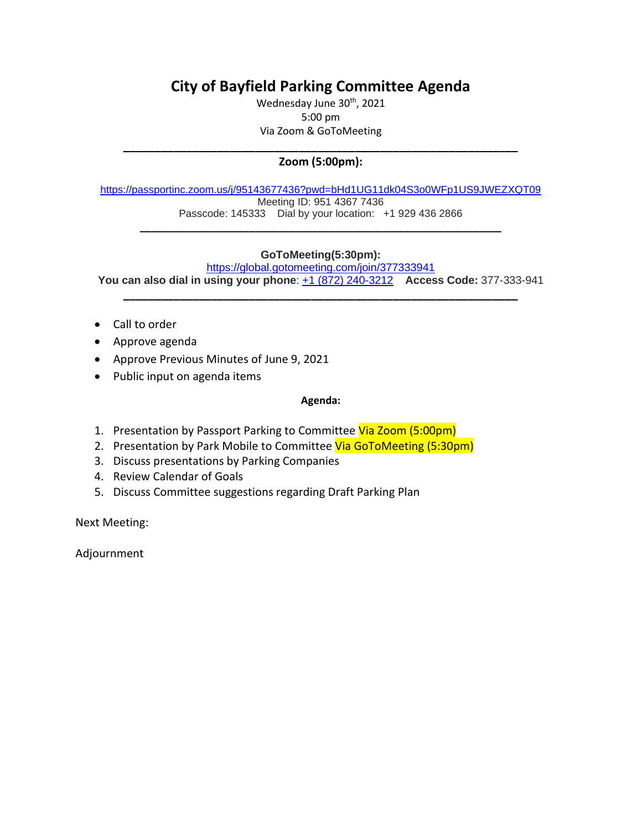# **City of Bayfield Parking Committee Agenda**

Wednesday June 30<sup>th</sup>, 2021 5:00 pm Via Zoom & GoToMeeting

## **\_\_\_\_\_\_\_\_\_\_\_\_\_\_\_\_\_\_\_\_\_\_\_\_\_\_\_\_\_\_\_\_\_\_\_\_\_\_\_\_\_\_\_\_\_\_\_\_\_\_\_\_\_\_\_\_\_\_\_\_\_\_\_ Zoom (5:00pm):**

[https://passportinc.zoom.us/j/95143677436?pwd=bHd1UG11dk04S3o0WFp1US9JWEZXQT09](https://www.google.com/url?q=https%3A%2F%2Fpassportinc.zoom.us%2Fj%2F95143677436%3Fpwd%3DbHd1UG11dk04S3o0WFp1US9JWEZXQT09&sa=D&source=calendar&usd=2&usg=AOvVaw2zOzRmzYtzJPOWuPcJTvPx) Meeting ID: 951 4367 7436 Passcode: 145333 Dial by your location: +1 929 436 2866

**\_\_\_\_\_\_\_\_\_\_\_\_\_\_\_\_\_\_\_\_\_\_\_\_\_\_\_\_\_\_\_\_\_\_\_\_\_\_\_\_\_\_\_\_\_\_\_\_\_\_\_\_\_\_\_\_\_\_\_\_\_\_\_**

# **GoToMeeting(5:30pm):**

<https://global.gotomeeting.com/join/377333941> **You can also dial in using your phone**: [+1 \(872\) 240-3212](tel:+18722403212,,377333941) **Access Code:** 377-333-941

**\_\_\_\_\_\_\_\_\_\_\_\_\_\_\_\_\_\_\_\_\_\_\_\_\_\_\_\_\_\_\_\_\_\_\_\_\_\_\_\_\_\_\_\_\_\_\_\_\_\_\_\_\_\_\_\_\_\_\_\_\_\_\_**

- Call to order
- Approve agenda
- Approve Previous Minutes of June 9, 2021
- Public input on agenda items

### **Agenda:**

- 1. Presentation by Passport Parking to Committee Via Zoom (5:00pm)
- 2. Presentation by Park Mobile to Committee Via GoToMeeting (5:30pm)
- 3. Discuss presentations by Parking Companies
- 4. Review Calendar of Goals
- 5. Discuss Committee suggestions regarding Draft Parking Plan

Next Meeting:

Adjournment